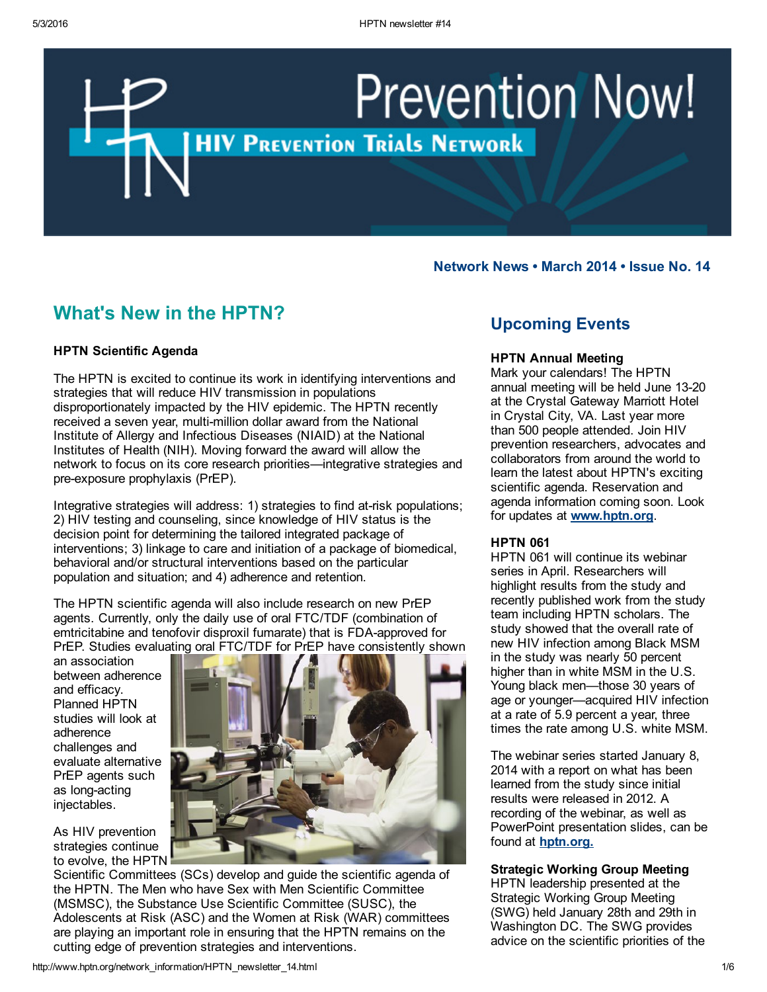# **Prevention Now! HIV PREVENTION TRIALS NETWORK**

## Network News • March 2014 • Issue No. 14

# What's New in the HPTN?

## HPTN Scientific Agenda

The HPTN is excited to continue its work in identifying interventions and strategies that will reduce HIV transmission in populations disproportionately impacted by the HIV epidemic. The HPTN recently received a seven year, multi-million dollar award from the National Institute of Allergy and Infectious Diseases (NIAID) at the National Institutes of Health (NIH). Moving forward the award will allow the network to focus on its core research priorities—integrative strategies and pre-exposure prophylaxis (PrEP).

Integrative strategies will address: 1) strategies to find at-risk populations; 2) HIV testing and counseling, since knowledge of HIV status is the decision point for determining the tailored integrated package of interventions; 3) linkage to care and initiation of a package of biomedical, behavioral and/or structural interventions based on the particular population and situation; and 4) adherence and retention.

The HPTN scientific agenda will also include research on new PrEP agents. Currently, only the daily use of oral FTC/TDF (combination of emtricitabine and tenofovir disproxil fumarate) that is FDA-approved for PrEP. Studies evaluating oral FTC/TDF for PrEP have consistently shown

an association between adherence and efficacy. Planned HPTN studies will look at adherence challenges and evaluate alternative PrEP agents such as long-acting injectables.

As HIV prevention strategies continue to evolve, the HPTN



Scientific Committees (SCs) develop and guide the scientific agenda of the HPTN. The Men who have Sex with Men Scientific Committee (MSMSC), the Substance Use Scientific Committee (SUSC), the Adolescents at Risk (ASC) and the Women at Risk (WAR) committees are playing an important role in ensuring that the HPTN remains on the cutting edge of prevention strategies and interventions.

## Upcoming Events

## HPTN Annual Meeting

Mark your calendars! The HPTN annual meeting will be held June 1320 at the Crystal Gateway Marriott Hotel in Crystal City, VA. Last year more than 500 people attended. Join HIV prevention researchers, advocates and collaborators from around the world to learn the latest about HPTN's exciting scientific agenda. Reservation and agenda information coming soon. Look for updates at **www.hptn.org**.

### **HPTN 061**

HPTN 061 will continue its webinar series in April. Researchers will highlight results from the study and recently published work from the study team including HPTN scholars. The study showed that the overall rate of new HIV infection among Black MSM in the study was nearly 50 percent higher than in white MSM in the U.S. Young black men—those 30 years of age or younger—acquired HIV infection at a rate of 5.9 percent a year, three times the rate among U.S. white MSM.

The webinar series started January 8, 2014 with a report on what has been learned from the study since initial results were released in 2012. A recording of the webinar, as well as PowerPoint presentation slides, can be found at **[hptn.org.](file:///C:/Users/kquick/Desktop/www.hptn.org)** 

## Strategic Working Group Meeting

HPTN leadership presented at the Strategic Working Group Meeting (SWG) held January 28th and 29th in Washington DC. The SWG provides advice on the scientific priorities of the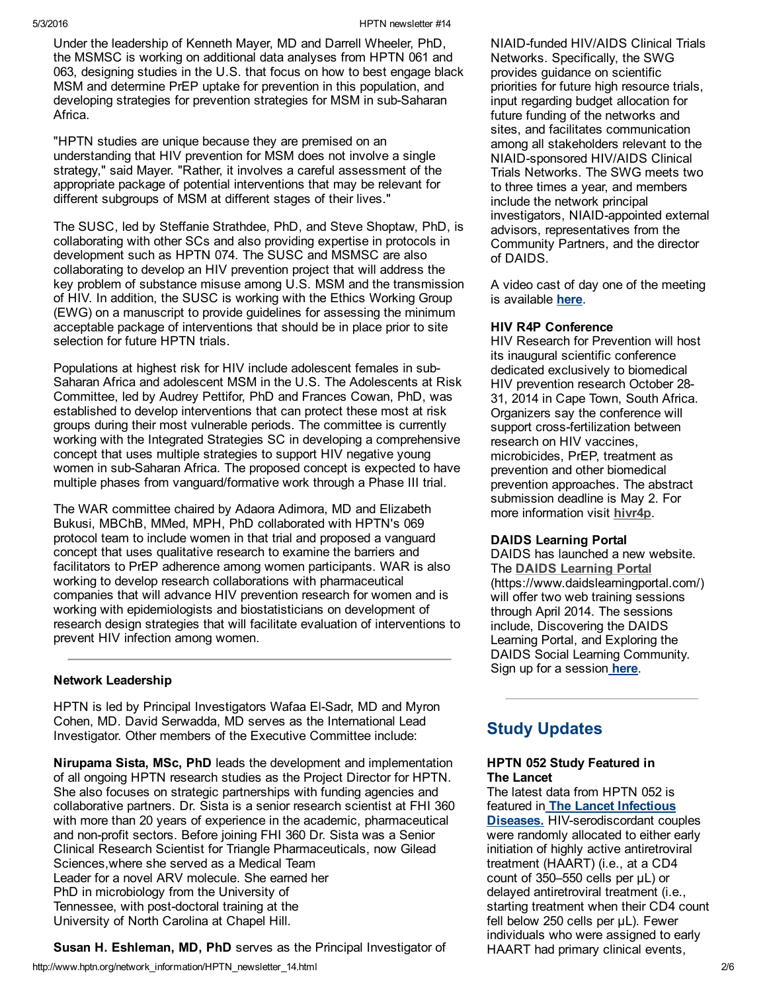Under the leadership of Kenneth Mayer, MD and Darrell Wheeler, PhD, the MSMSC is working on additional data analyses from HPTN 061 and 063, designing studies in the U.S. that focus on how to best engage black MSM and determine PrEP uptake for prevention in this population, and developing strategies for prevention strategies for MSM in sub-Saharan Africa.

"HPTN studies are unique because they are premised on an understanding that HIV prevention for MSM does not involve a single strategy," said Mayer. "Rather, it involves a careful assessment of the appropriate package of potential interventions that may be relevant for different subgroups of MSM at different stages of their lives."

The SUSC, led by Steffanie Strathdee, PhD, and Steve Shoptaw, PhD, is collaborating with other SCs and also providing expertise in protocols in development such as HPTN 074. The SUSC and MSMSC are also collaborating to develop an HIV prevention project that will address the key problem of substance misuse among U.S. MSM and the transmission of HIV. In addition, the SUSC is working with the Ethics Working Group (EWG) on a manuscript to provide guidelines for assessing the minimum acceptable package of interventions that should be in place prior to site selection for future HPTN trials.

Populations at highest risk for HIV include adolescent females in sub-Saharan Africa and adolescent MSM in the U.S. The Adolescents at Risk Committee, led by Audrey Pettifor, PhD and Frances Cowan, PhD, was established to develop interventions that can protect these most at risk groups during their most vulnerable periods. The committee is currently working with the Integrated Strategies SC in developing a comprehensive concept that uses multiple strategies to support HIV negative young women in sub-Saharan Africa. The proposed concept is expected to have multiple phases from vanguard/formative work through a Phase III trial.

The WAR committee chaired by Adaora Adimora, MD and Elizabeth Bukusi, MBChB, MMed, MPH, PhD collaborated with HPTN's 069 protocol team to include women in that trial and proposed a vanguard concept that uses qualitative research to examine the barriers and facilitators to PrEP adherence among women participants. WAR is also working to develop research collaborations with pharmaceutical companies that will advance HIV prevention research for women and is working with epidemiologists and biostatisticians on development of research design strategies that will facilitate evaluation of interventions to prevent HIV infection among women.

## Network Leadership

HPTN is led by Principal Investigators Wafaa El-Sadr, MD and Myron Cohen, MD. David Serwadda, MD serves as the International Lead Investigator. Other members of the Executive Committee include:

Nirupama Sista, MSc, PhD leads the development and implementation of all ongoing HPTN research studies as the Project Director for HPTN. She also focuses on strategic partnerships with funding agencies and collaborative partners. Dr. Sista is a senior research scientist at FHI 360 with more than 20 years of experience in the academic, pharmaceutical and non-profit sectors. Before joining FHI 360 Dr. Sista was a Senior Clinical Research Scientist for Triangle Pharmaceuticals, now Gilead Sciences,where she served as a Medical Team Leader for a novel ARV molecule. She earned her PhD in microbiology from the University of Tennessee, with post-doctoral training at the University of North Carolina at Chapel Hill.

Susan H. Eshleman, MD, PhD serves as the Principal Investigator of

NIAID-funded HIV/AIDS Clinical Trials Networks. Specifically, the SWG provides guidance on scientific priorities for future high resource trials, input regarding budget allocation for future funding of the networks and sites, and facilitates communication among all stakeholders relevant to the NIAID-sponsored HIV/AIDS Clinical Trials Networks. The SWG meets two to three times a year, and members include the network principal investigators, NIAID-appointed external advisors, representatives from the Community Partners, and the director of DAIDS.

A video cast of day one of the meeting is available [here](http://videocast.nih.gov/Summary.asp?File=18258&bhcp=1).

## HIV R4P Conference

HIV Research for Prevention will host its inaugural scientific conference dedicated exclusively to biomedical HIV prevention research October 28 31, 2014 in Cape Town, South Africa. Organizers say the conference will support cross-fertilization between research on HIV vaccines, microbicides, PrEP, treatment as prevention and other biomedical prevention approaches. The abstract submission deadline is May 2. For more information visit [hivr4p.](http://hivr4p.org/)

### DAIDS Learning Portal

DAIDS has launched a new website. The DAIDS [Learning](https://www.daidslearningportal.com/) Portal (https://www.daidslearningportal.com/) will offer two web training sessions through April 2014. The sessions include, Discovering the DAIDS Learning Portal, and Exploring the DAIDS Social Learning Community. Sign up for a session [here](http://tinyurl.com/WebTrainingRegistration).

# Study Updates

## HPTN 052 Study Featured in The Lancet

The latest data from HPTN 052 is featured in The Lancet Infectious **Diseases.** HIV-serodiscordant couples were randomly allocated to either early initiation of highly active antiretroviral treatment (HAART) (i.e., at a CD4 count of 350–550 cells per μL) or delayed antiretroviral treatment (i.e., starting treatment when their CD4 count fell below 250 cells per μL). Fewer individuals who were assigned to early HAART had primary clinical events,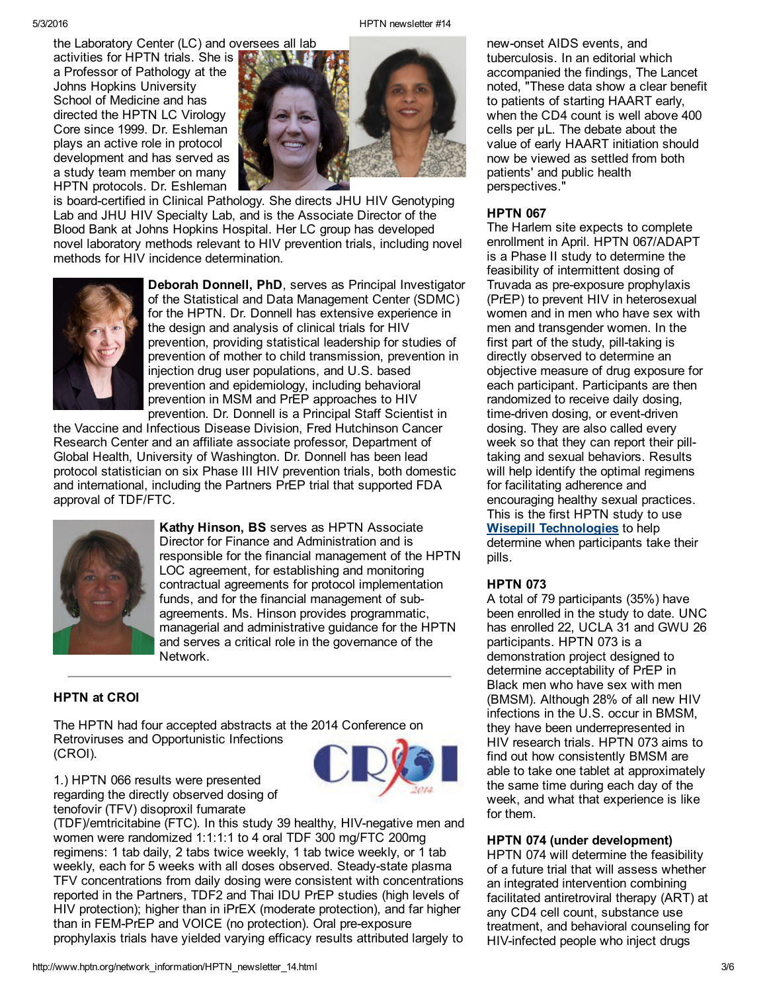the Laboratory Center (LC) and oversees all lab activities for HPTN trials. She is a Professor of Pathology at the Johns Hopkins University

School of Medicine and has directed the HPTN LC Virology Core since 1999. Dr. Eshleman plays an active role in protocol development and has served as a study team member on many HPTN protocols. Dr. Eshleman



is board-certified in Clinical Pathology. She directs JHU HIV Genotyping Lab and JHU HIV Specialty Lab, and is the Associate Director of the Blood Bank at Johns Hopkins Hospital. Her LC group has developed novel laboratory methods relevant to HIV prevention trials, including novel methods for HIV incidence determination.



Deborah Donnell, PhD, serves as Principal Investigator of the Statistical and Data Management Center (SDMC) for the HPTN. Dr. Donnell has extensive experience in the design and analysis of clinical trials for HIV prevention, providing statistical leadership for studies of prevention of mother to child transmission, prevention in injection drug user populations, and U.S. based prevention and epidemiology, including behavioral prevention in MSM and PrEP approaches to HIV prevention. Dr. Donnell is a Principal Staff Scientist in

the Vaccine and Infectious Disease Division, Fred Hutchinson Cancer Research Center and an affiliate associate professor, Department of Global Health, University of Washington. Dr. Donnell has been lead protocol statistician on six Phase III HIV prevention trials, both domestic and international, including the Partners PrEP trial that supported FDA approval of TDF/FTC.



Kathy Hinson, BS serves as HPTN Associate Director for Finance and Administration and is responsible for the financial management of the HPTN LOC agreement, for establishing and monitoring contractual agreements for protocol implementation funds, and for the financial management of subagreements. Ms. Hinson provides programmatic, managerial and administrative guidance for the HPTN and serves a critical role in the governance of the Network.

## HPTN at CROI

The HPTN had four accepted abstracts at the 2014 Conference on Retroviruses and Opportunistic Infections (CROI).



1.) HPTN 066 results were presented regarding the directly observed dosing of tenofovir (TFV) disoproxil fumarate

(TDF)/emtricitabine (FTC). In this study 39 healthy, HIV-negative men and women were randomized 1:1:1:1 to 4 oral TDF 300 mg/FTC 200mg regimens: 1 tab daily, 2 tabs twice weekly, 1 tab twice weekly, or 1 tab weekly, each for 5 weeks with all doses observed. Steady-state plasma TFV concentrations from daily dosing were consistent with concentrations reported in the Partners, TDF2 and Thai IDU PrEP studies (high levels of HIV protection); higher than in iPrEX (moderate protection), and far higher than in FEM-PrEP and VOICE (no protection). Oral pre-exposure prophylaxis trials have yielded varying efficacy results attributed largely to

new-onset AIDS events, and tuberculosis. In an editorial which accompanied the findings, The Lancet noted, "These data show a clear benefit to patients of starting HAART early, when the CD4 count is well above 400 cells per μL. The debate about the value of early HAART initiation should now be viewed as settled from both patients' and public health perspectives."

## **HPTN 067**

The Harlem site expects to complete enrollment in April. HPTN 067/ADAPT is a Phase II study to determine the feasibility of intermittent dosing of Truvada as pre-exposure prophylaxis (PrEP) to prevent HIV in heterosexual women and in men who have sex with men and transgender women. In the first part of the study, pill-taking is directly observed to determine an objective measure of drug exposure for each participant. Participants are then randomized to receive daily dosing, time-driven dosing, or event-driven dosing. They are also called every week so that they can report their pilltaking and sexual behaviors. Results will help identify the optimal regimens for facilitating adherence and encouraging healthy sexual practices. This is the first HPTN study to use Wisepill [Technologies](http://www.wisepill.com/mediscern/index.php?option=com_content&view=frontpage&Itemid=58) to help determine when participants take their pills.

### **HPTN 073**

A total of 79 participants (35%) have been enrolled in the study to date. UNC has enrolled 22, UCLA 31 and GWU 26 participants. HPTN 073 is a demonstration project designed to determine acceptability of PrEP in Black men who have sex with men (BMSM). Although 28% of all new HIV infections in the U.S. occur in BMSM, they have been underrepresented in HIV research trials. HPTN 073 aims to find out how consistently BMSM are able to take one tablet at approximately the same time during each day of the week, and what that experience is like for them.

## HPTN 074 (under development)

HPTN 074 will determine the feasibility of a future trial that will assess whether an integrated intervention combining facilitated antiretroviral therapy (ART) at any CD4 cell count, substance use treatment, and behavioral counseling for HIV-infected people who inject drugs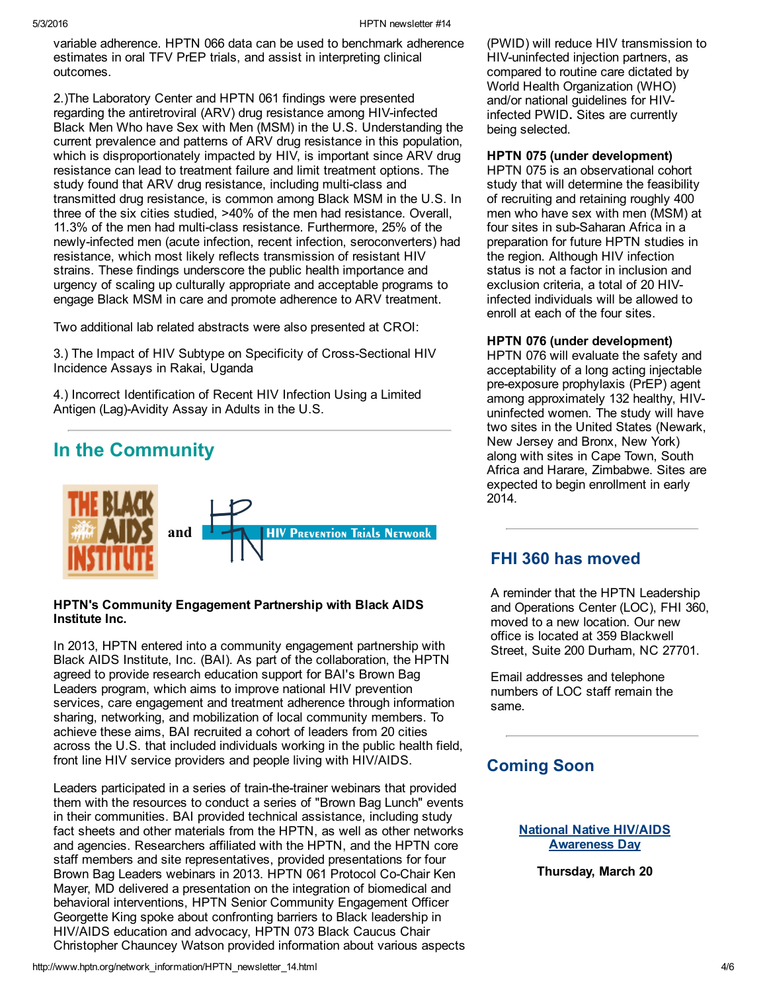variable adherence. HPTN 066 data can be used to benchmark adherence estimates in oral TFV PrEP trials, and assist in interpreting clinical outcomes.

2.)The Laboratory Center and HPTN 061 findings were presented regarding the antiretroviral (ARV) drug resistance among HIV-infected Black Men Who have Sex with Men (MSM) in the U.S. Understanding the current prevalence and patterns of ARV drug resistance in this population, which is disproportionately impacted by HIV, is important since ARV drug resistance can lead to treatment failure and limit treatment options. The study found that ARV drug resistance, including multi-class and transmitted drug resistance, is common among Black MSM in the U.S. In three of the six cities studied, >40% of the men had resistance. Overall, 11.3% of the men had multi-class resistance. Furthermore, 25% of the newly-infected men (acute infection, recent infection, seroconverters) had resistance, which most likely reflects transmission of resistant HIV strains. These findings underscore the public health importance and urgency of scaling up culturally appropriate and acceptable programs to engage Black MSM in care and promote adherence to ARV treatment.

Two additional lab related abstracts were also presented at CROI:

3.) The Impact of HIV Subtype on Specificity of Cross-Sectional HIV Incidence Assays in Rakai, Uganda

4.) Incorrect Identification of Recent HIV Infection Using a Limited Antigen (Lag)-Avidity Assay in Adults in the U.S.

# In the Community



## HPTN's Community Engagement Partnership with Black AIDS Institute Inc.

In 2013, HPTN entered into a community engagement partnership with Black AIDS Institute, Inc. (BAI). As part of the collaboration, the HPTN agreed to provide research education support for BAI's Brown Bag Leaders program, which aims to improve national HIV prevention services, care engagement and treatment adherence through information sharing, networking, and mobilization of local community members. To achieve these aims, BAI recruited a cohort of leaders from 20 cities across the U.S. that included individuals working in the public health field, front line HIV service providers and people living with HIV/AIDS.

Leaders participated in a series of train-the-trainer webinars that provided them with the resources to conduct a series of "Brown Bag Lunch" events in their communities. BAI provided technical assistance, including study fact sheets and other materials from the HPTN, as well as other networks and agencies. Researchers affiliated with the HPTN, and the HPTN core staff members and site representatives, provided presentations for four Brown Bag Leaders webinars in 2013. HPTN 061 Protocol Co-Chair Ken Mayer, MD delivered a presentation on the integration of biomedical and behavioral interventions, HPTN Senior Community Engagement Officer Georgette King spoke about confronting barriers to Black leadership in HIV/AIDS education and advocacy, HPTN 073 Black Caucus Chair Christopher Chauncey Watson provided information about various aspects

(PWID) will reduce HIV transmission to HIV-uninfected injection partners, as compared to routine care dictated by World Health Organization (WHO) and/or national guidelines for HIVinfected PWID. Sites are currently being selected.

## HPTN 075 (under development)

HPTN 075 is an observational cohort study that will determine the feasibility of recruiting and retaining roughly 400 men who have sex with men (MSM) at four sites in sub-Saharan Africa in a preparation for future HPTN studies in the region. Although HIV infection status is not a factor in inclusion and exclusion criteria, a total of 20 HIVinfected individuals will be allowed to enroll at each of the four sites.

## HPTN 076 (under development)

HPTN 076 will evaluate the safety and acceptability of a long acting injectable pre-exposure prophylaxis (PrEP) agent among approximately 132 healthy, HIVuninfected women. The study will have two sites in the United States (Newark, New Jersey and Bronx, New York) along with sites in Cape Town, South Africa and Harare, Zimbabwe. Sites are expected to begin enrollment in early 2014.

## FHI 360 has moved

A reminder that the HPTN Leadership and Operations Center (LOC), FHI 360, moved to a new location. Our new office is located at 359 Blackwell Street, Suite 200 Durham, NC 27701.

Email addresses and telephone numbers of LOC staff remain the same.

## Coming Soon

### National Native HIV/AIDS [Awareness](http://www.aids.gov/awareness-days/) Day

Thursday, March 20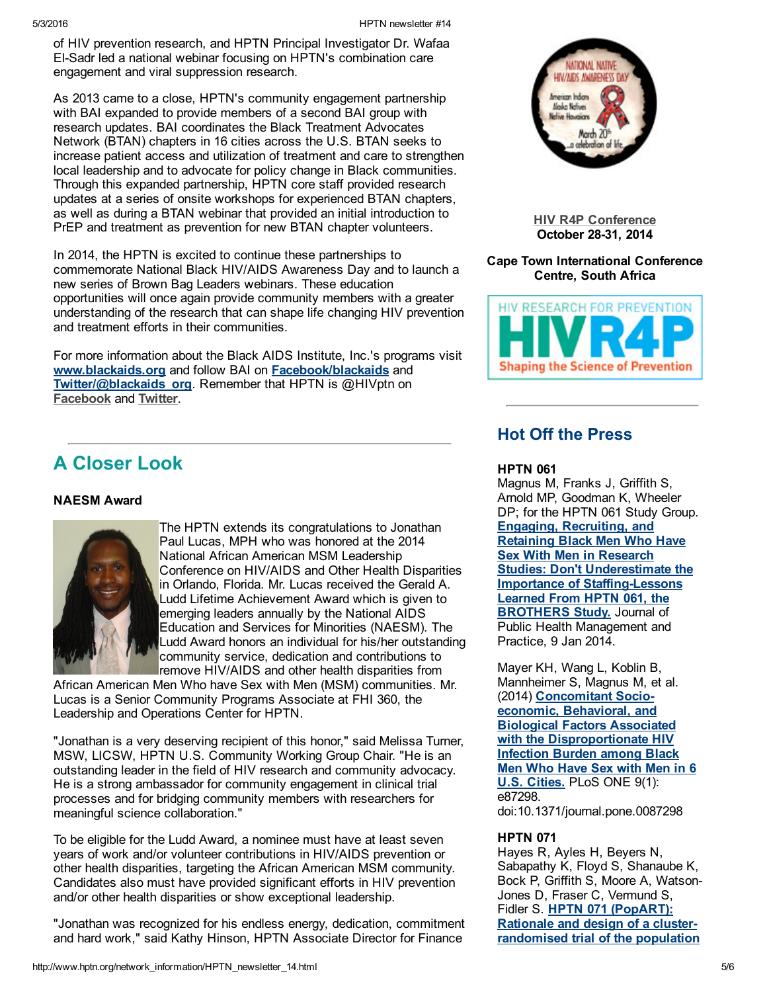of HIV prevention research, and HPTN Principal Investigator Dr. Wafaa ElSadr led a national webinar focusing on HPTN's combination care engagement and viral suppression research.

As 2013 came to a close, HPTN's community engagement partnership with BAI expanded to provide members of a second BAI group with research updates. BAI coordinates the Black Treatment Advocates Network (BTAN) chapters in 16 cities across the U.S. BTAN seeks to increase patient access and utilization of treatment and care to strengthen local leadership and to advocate for policy change in Black communities. Through this expanded partnership, HPTN core staff provided research updates at a series of onsite workshops for experienced BTAN chapters, as well as during a BTAN webinar that provided an initial introduction to PrEP and treatment as prevention for new BTAN chapter volunteers.

In 2014, the HPTN is excited to continue these partnerships to commemorate National Black HIV/AIDS Awareness Day and to launch a new series of Brown Bag Leaders webinars. These education opportunities will once again provide community members with a greater understanding of the research that can shape life changing HIV prevention and treatment efforts in their communities.

For more information about the Black AIDS Institute, Inc.'s programs visit [www.blackaids.org](http://www.blackaids.org/) and follow BAI on [Facebook/blackaids](https://www.facebook.com/blackaids) and [Twitter/@blackaids\\_org](https://twitter.com/BlackAIDS_org). Remember that HPTN is @HIVptn on [Facebook](https://www.facebook.com/HIVptn) and [Twitter.](https://twitter.com/HIVptn)

# A Closer Look

## NAESM Award



The HPTN extends its congratulations to Jonathan Paul Lucas, MPH who was honored at the 2014 National African American MSM Leadership Conference on HIV/AIDS and Other Health Disparities in Orlando, Florida. Mr. Lucas received the Gerald A. Ludd Lifetime Achievement Award which is given to emerging leaders annually by the National AIDS Education and Services for Minorities (NAESM). The Ludd Award honors an individual for his/her outstanding community service, dedication and contributions to remove HIV/AIDS and other health disparities from

African American Men Who have Sex with Men (MSM) communities. Mr. Lucas is a Senior Community Programs Associate at FHI 360, the Leadership and Operations Center for HPTN.

"Jonathan is a very deserving recipient of this honor," said Melissa Turner, MSW, LICSW, HPTN U.S. Community Working Group Chair. "He is an outstanding leader in the field of HIV research and community advocacy. He is a strong ambassador for community engagement in clinical trial processes and for bridging community members with researchers for meaningful science collaboration."

To be eligible for the Ludd Award, a nominee must have at least seven years of work and/or volunteer contributions in HIV/AIDS prevention or other health disparities, targeting the African American MSM community. Candidates also must have provided significant efforts in HIV prevention and/or other health disparities or show exceptional leadership.

"Jonathan was recognized for his endless energy, dedication, commitment and hard work," said Kathy Hinson, HPTN Associate Director for Finance



HIV R4P [Conference](http://hivr4p.org/) October 28-31, 2014

## Cape Town International Conference Centre, South Africa



## Hot Off the Press

## **HPTN 061**

Magnus M, Franks J, Griffith S, Arnold MP, Goodman K, Wheeler DP; for the HPTN 061 Study Group. Engaging, Recruiting, and Retaining Black Men Who Have Sex With Men in Research **Studies: Don't Underestimate the Importance of Staffing-Lessons** Learned From HPTN 061, the **BROTHERS Study.** Journal of Public Health Management and Practice, 9 Jan 2014.

Mayer KH, Wang L, Koblin B, Mannheimer S, Magnus M, et al. (2014) Concomitant Socioeconomic, Behavioral, and Biological Factors Associated with the [Disproportionate](http://www.ncbi.nlm.nih.gov/pubmed/24498067) HIV Infection Burden among Black Men Who Have Sex with Men in 6 U.S. Cities. PLoS ONE 9(1): e87298. doi:10.1371/journal.pone.0087298

## HPTN 071

Hayes R, Ayles H, Beyers N, Sabapathy K, Floyd S, Shanaube K, Bock P, Griffith S, Moore A, Watson-Jones D, Fraser C, Vermund S, Fidler S. HPTN 071 (PopART): Rationale and design of a cluster[randomised](http://www.ncbi.nlm.nih.gov/pubmed/?term=HPTN%20071%20(PopART):%20Rationale%20and%20design%20of%20a%20cluster-randomised%20trial%20of%20the%20population%20impact%20of%20an%20HIV%20combination%20prevention%20intervention%20including%20universal%20testing%20and%20treatment%20-%20a%20study%20protocol%20for%20a%20cluster%20randomised%20trial) trial of the population